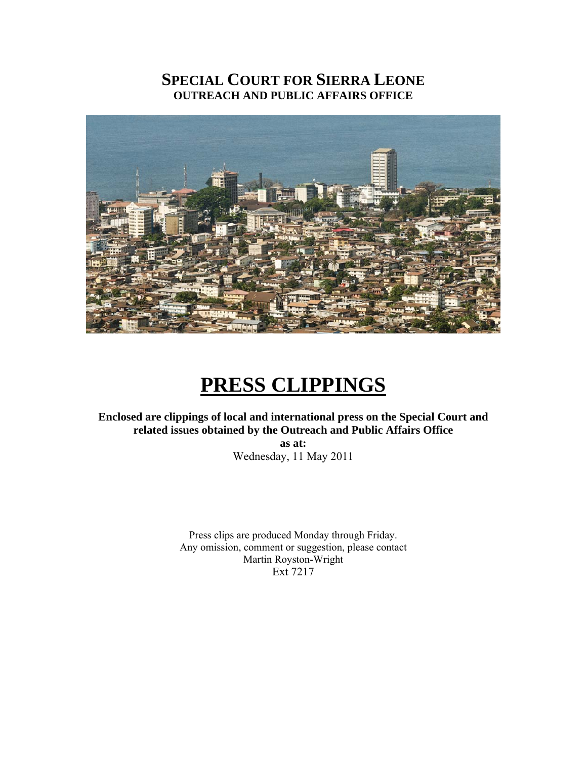# **SPECIAL COURT FOR SIERRA LEONE OUTREACH AND PUBLIC AFFAIRS OFFICE**



# **PRESS CLIPPINGS**

# **Enclosed are clippings of local and international press on the Special Court and related issues obtained by the Outreach and Public Affairs Office**

**as at:**  Wednesday, 11 May 2011

Press clips are produced Monday through Friday. Any omission, comment or suggestion, please contact Martin Royston-Wright Ext 7217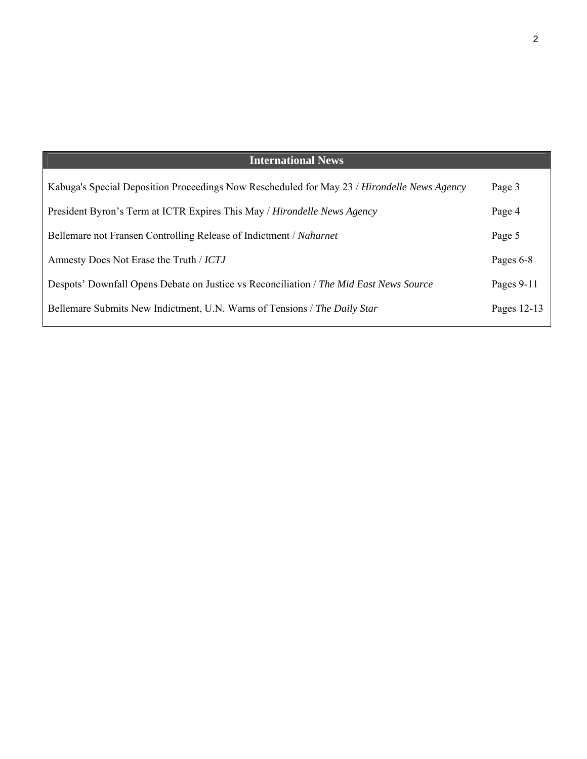| <b>International News</b>                                                                   |              |
|---------------------------------------------------------------------------------------------|--------------|
| Kabuga's Special Deposition Proceedings Now Rescheduled for May 23 / Hirondelle News Agency | Page 3       |
| President Byron's Term at ICTR Expires This May / Hirondelle News Agency                    | Page 4       |
| Bellemare not Fransen Controlling Release of Indictment / Naharnet                          | Page 5       |
| Amnesty Does Not Erase the Truth / ICTJ                                                     | Pages 6-8    |
| Despots' Downfall Opens Debate on Justice vs Reconciliation / The Mid East News Source      | Pages $9-11$ |
| Bellemare Submits New Indictment, U.N. Warns of Tensions / The Daily Star                   | Pages 12-13  |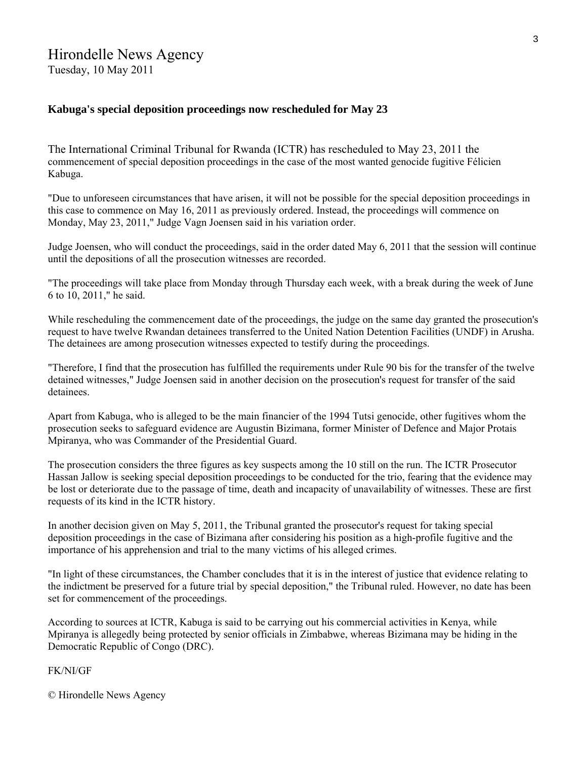# Hirondelle News Agency

Tuesday, 10 May 2011

# **Kabuga's special deposition proceedings now rescheduled for May 23**

The International Criminal Tribunal for Rwanda (ICTR) has rescheduled to May 23, 2011 the commencement of special deposition proceedings in the case of the most wanted genocide fugitive Félicien Kabuga.

"Due to unforeseen circumstances that have arisen, it will not be possible for the special deposition proceedings in this case to commence on May 16, 2011 as previously ordered. Instead, the proceedings will commence on Monday, May 23, 2011," Judge Vagn Joensen said in his variation order.

Judge Joensen, who will conduct the proceedings, said in the order dated May 6, 2011 that the session will continue until the depositions of all the prosecution witnesses are recorded.

"The proceedings will take place from Monday through Thursday each week, with a break during the week of June 6 to 10, 2011," he said.

While rescheduling the commencement date of the proceedings, the judge on the same day granted the prosecution's request to have twelve Rwandan detainees transferred to the United Nation Detention Facilities (UNDF) in Arusha. The detainees are among prosecution witnesses expected to testify during the proceedings.

"Therefore, I find that the prosecution has fulfilled the requirements under Rule 90 bis for the transfer of the twelve detained witnesses," Judge Joensen said in another decision on the prosecution's request for transfer of the said detainees.

Apart from Kabuga, who is alleged to be the main financier of the 1994 Tutsi genocide, other fugitives whom the prosecution seeks to safeguard evidence are Augustin Bizimana, former Minister of Defence and Major Protais Mpiranya, who was Commander of the Presidential Guard.

The prosecution considers the three figures as key suspects among the 10 still on the run. The ICTR Prosecutor Hassan Jallow is seeking special deposition proceedings to be conducted for the trio, fearing that the evidence may be lost or deteriorate due to the passage of time, death and incapacity of unavailability of witnesses. These are first requests of its kind in the ICTR history.

In another decision given on May 5, 2011, the Tribunal granted the prosecutor's request for taking special deposition proceedings in the case of Bizimana after considering his position as a high-profile fugitive and the importance of his apprehension and trial to the many victims of his alleged crimes.

"In light of these circumstances, the Chamber concludes that it is in the interest of justice that evidence relating to the indictment be preserved for a future trial by special deposition," the Tribunal ruled. However, no date has been set for commencement of the proceedings.

According to sources at ICTR, Kabuga is said to be carrying out his commercial activities in Kenya, while Mpiranya is allegedly being protected by senior officials in Zimbabwe, whereas Bizimana may be hiding in the Democratic Republic of Congo (DRC).

FK/NI/GF

© Hirondelle News Agency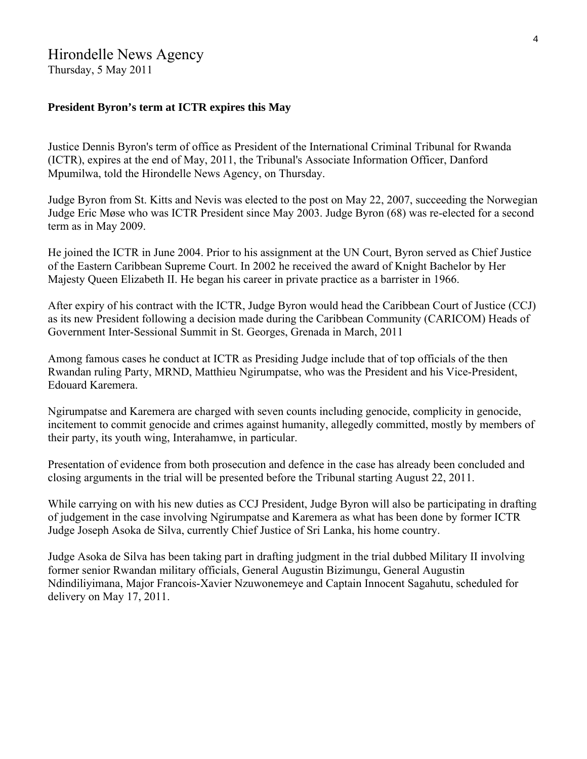# Hirondelle News Agency

Thursday, 5 May 2011

# **President Byron's term at ICTR expires this May**

Justice Dennis Byron's term of office as President of the International Criminal Tribunal for Rwanda (ICTR), expires at the end of May, 2011, the Tribunal's Associate Information Officer, Danford Mpumilwa, told the Hirondelle News Agency, on Thursday.

Judge Byron from St. Kitts and Nevis was elected to the post on May 22, 2007, succeeding the Norwegian Judge Eric Møse who was ICTR President since May 2003. Judge Byron (68) was re-elected for a second term as in May 2009.

He joined the ICTR in June 2004. Prior to his assignment at the UN Court, Byron served as Chief Justice of the Eastern Caribbean Supreme Court. In 2002 he received the award of Knight Bachelor by Her Majesty Queen Elizabeth II. He began his career in private practice as a barrister in 1966.

After expiry of his contract with the ICTR, Judge Byron would head the Caribbean Court of Justice (CCJ) as its new President following a decision made during the Caribbean Community (CARICOM) Heads of Government Inter-Sessional Summit in St. Georges, Grenada in March, 2011

Among famous cases he conduct at ICTR as Presiding Judge include that of top officials of the then Rwandan ruling Party, MRND, Matthieu Ngirumpatse, who was the President and his Vice-President, Edouard Karemera.

Ngirumpatse and Karemera are charged with seven counts including genocide, complicity in genocide, incitement to commit genocide and crimes against humanity, allegedly committed, mostly by members of their party, its youth wing, Interahamwe, in particular.

Presentation of evidence from both prosecution and defence in the case has already been concluded and closing arguments in the trial will be presented before the Tribunal starting August 22, 2011.

While carrying on with his new duties as CCJ President, Judge Byron will also be participating in drafting of judgement in the case involving Ngirumpatse and Karemera as what has been done by former ICTR Judge Joseph Asoka de Silva, currently Chief Justice of Sri Lanka, his home country.

Judge Asoka de Silva has been taking part in drafting judgment in the trial dubbed Military II involving former senior Rwandan military officials, General Augustin Bizimungu, General Augustin Ndindiliyimana, Major Francois-Xavier Nzuwonemeye and Captain Innocent Sagahutu, scheduled for delivery on May 17, 2011.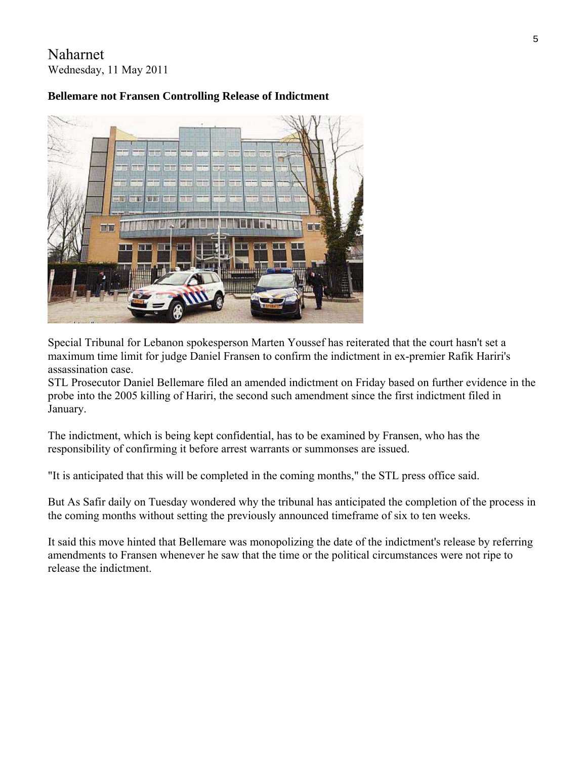Naharnet Wednesday, 11 May 2011

# **Bellemare not Fransen Controlling Release of Indictment**



Special Tribunal for Lebanon spokesperson Marten Youssef has reiterated that the court hasn't set a maximum time limit for judge Daniel Fransen to confirm the indictment in ex-premier Rafik Hariri's assassination case.

STL Prosecutor Daniel Bellemare filed an amended indictment on Friday based on further evidence in the probe into the 2005 killing of Hariri, the second such amendment since the first indictment filed in January.

The indictment, which is being kept confidential, has to be examined by Fransen, who has the responsibility of confirming it before arrest warrants or summonses are issued.

"It is anticipated that this will be completed in the coming months," the STL press office said.

But As Safir daily on Tuesday wondered why the tribunal has anticipated the completion of the process in the coming months without setting the previously announced timeframe of six to ten weeks.

It said this move hinted that Bellemare was monopolizing the date of the indictment's release by referring amendments to Fransen whenever he saw that the time or the political circumstances were not ripe to release the indictment.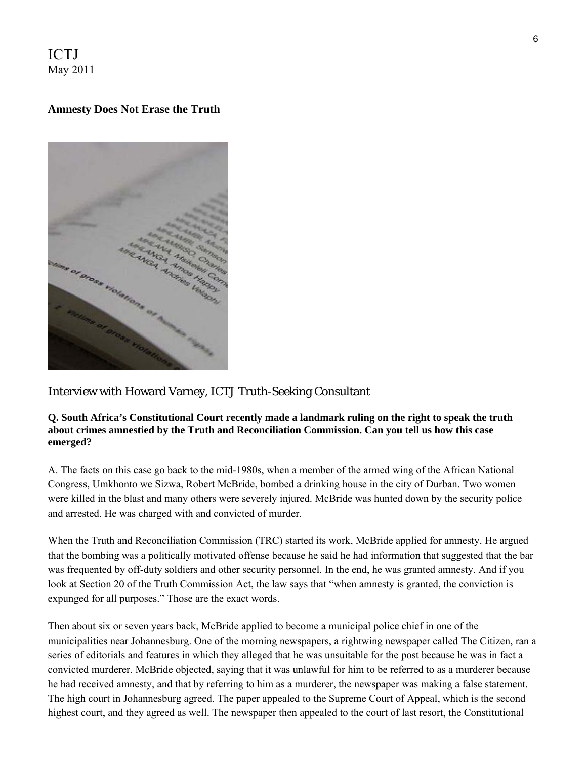ICTJ May 2011

# **Amnesty Does Not Erase the Truth**



# Interview with Howard Varney, ICTJ Truth-Seeking Consultant

#### **Q. South Africa's Constitutional Court recently made a landmark ruling on the right to speak the truth about crimes amnestied by the Truth and Reconciliation Commission. Can you tell us how this case emerged?**

A. The facts on this case go back to the mid-1980s, when a member of the armed wing of the African National Congress, Umkhonto we Sizwa, Robert McBride, bombed a drinking house in the city of Durban. Two women were killed in the blast and many others were severely injured. McBride was hunted down by the security police and arrested. He was charged with and convicted of murder.

When the Truth and Reconciliation Commission (TRC) started its work, McBride applied for amnesty. He argued that the bombing was a politically motivated offense because he said he had information that suggested that the bar was frequented by off-duty soldiers and other security personnel. In the end, he was granted amnesty. And if you look at Section 20 of the Truth Commission Act, the law says that "when amnesty is granted, the conviction is expunged for all purposes." Those are the exact words.

Then about six or seven years back, McBride applied to become a municipal police chief in one of the municipalities near Johannesburg. One of the morning newspapers, a rightwing newspaper called The Citizen, ran a series of editorials and features in which they alleged that he was unsuitable for the post because he was in fact a convicted murderer. McBride objected, saying that it was unlawful for him to be referred to as a murderer because he had received amnesty, and that by referring to him as a murderer, the newspaper was making a false statement. The high court in Johannesburg agreed. The paper appealed to the Supreme Court of Appeal, which is the second highest court, and they agreed as well. The newspaper then appealed to the court of last resort, the Constitutional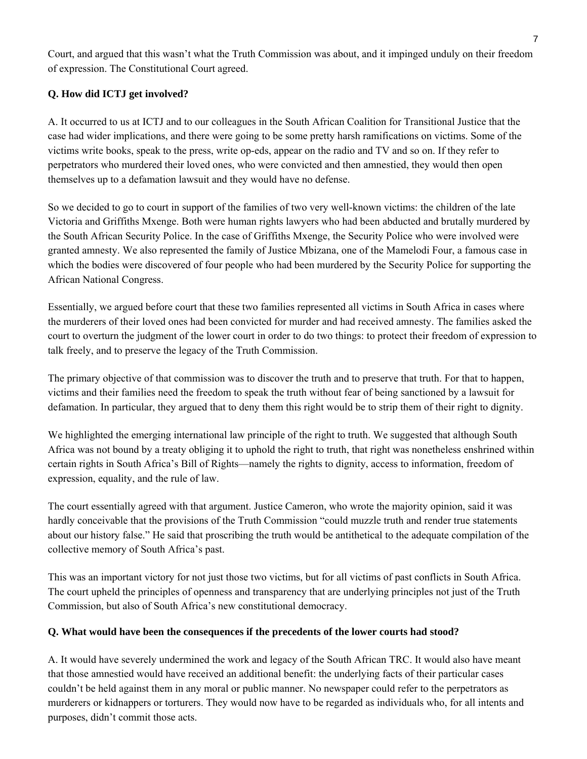Court, and argued that this wasn't what the Truth Commission was about, and it impinged unduly on their freedom of expression. The Constitutional Court agreed.

# **Q. How did ICTJ get involved?**

A. It occurred to us at ICTJ and to our colleagues in the South African Coalition for Transitional Justice that the case had wider implications, and there were going to be some pretty harsh ramifications on victims. Some of the victims write books, speak to the press, write op-eds, appear on the radio and TV and so on. If they refer to perpetrators who murdered their loved ones, who were convicted and then amnestied, they would then open themselves up to a defamation lawsuit and they would have no defense.

So we decided to go to court in support of the families of two very well-known victims: the children of the late Victoria and Griffiths Mxenge. Both were human rights lawyers who had been abducted and brutally murdered by the South African Security Police. In the case of Griffiths Mxenge, the Security Police who were involved were granted amnesty. We also represented the family of Justice Mbizana, one of the Mamelodi Four, a famous case in which the bodies were discovered of four people who had been murdered by the Security Police for supporting the African National Congress.

Essentially, we argued before court that these two families represented all victims in South Africa in cases where the murderers of their loved ones had been convicted for murder and had received amnesty. The families asked the court to overturn the judgment of the lower court in order to do two things: to protect their freedom of expression to talk freely, and to preserve the legacy of the Truth Commission.

The primary objective of that commission was to discover the truth and to preserve that truth. For that to happen, victims and their families need the freedom to speak the truth without fear of being sanctioned by a lawsuit for defamation. In particular, they argued that to deny them this right would be to strip them of their right to dignity.

We highlighted the emerging international law principle of the right to truth. We suggested that although South Africa was not bound by a treaty obliging it to uphold the right to truth, that right was nonetheless enshrined within certain rights in South Africa's Bill of Rights—namely the rights to dignity, access to information, freedom of expression, equality, and the rule of law.

The court essentially agreed with that argument. Justice Cameron, who wrote the majority opinion, said it was hardly conceivable that the provisions of the Truth Commission "could muzzle truth and render true statements about our history false." He said that proscribing the truth would be antithetical to the adequate compilation of the collective memory of South Africa's past.

This was an important victory for not just those two victims, but for all victims of past conflicts in South Africa. The court upheld the principles of openness and transparency that are underlying principles not just of the Truth Commission, but also of South Africa's new constitutional democracy.

# **Q. What would have been the consequences if the precedents of the lower courts had stood?**

A. It would have severely undermined the work and legacy of the South African TRC. It would also have meant that those amnestied would have received an additional benefit: the underlying facts of their particular cases couldn't be held against them in any moral or public manner. No newspaper could refer to the perpetrators as murderers or kidnappers or torturers. They would now have to be regarded as individuals who, for all intents and purposes, didn't commit those acts.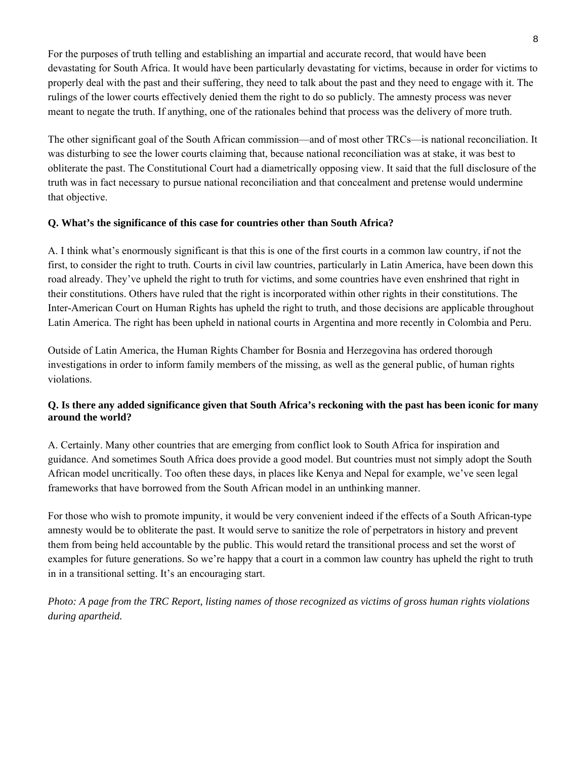For the purposes of truth telling and establishing an impartial and accurate record, that would have been devastating for South Africa. It would have been particularly devastating for victims, because in order for victims to properly deal with the past and their suffering, they need to talk about the past and they need to engage with it. The rulings of the lower courts effectively denied them the right to do so publicly. The amnesty process was never meant to negate the truth. If anything, one of the rationales behind that process was the delivery of more truth.

The other significant goal of the South African commission—and of most other TRCs—is national reconciliation. It was disturbing to see the lower courts claiming that, because national reconciliation was at stake, it was best to obliterate the past. The Constitutional Court had a diametrically opposing view. It said that the full disclosure of the truth was in fact necessary to pursue national reconciliation and that concealment and pretense would undermine that objective.

### **Q. What's the significance of this case for countries other than South Africa?**

A. I think what's enormously significant is that this is one of the first courts in a common law country, if not the first, to consider the right to truth. Courts in civil law countries, particularly in Latin America, have been down this road already. They've upheld the right to truth for victims, and some countries have even enshrined that right in their constitutions. Others have ruled that the right is incorporated within other rights in their constitutions. The Inter-American Court on Human Rights has upheld the right to truth, and those decisions are applicable throughout Latin America. The right has been upheld in national courts in Argentina and more recently in Colombia and Peru.

Outside of Latin America, the Human Rights Chamber for Bosnia and Herzegovina has ordered thorough investigations in order to inform family members of the missing, as well as the general public, of human rights violations.

# **Q. Is there any added significance given that South Africa's reckoning with the past has been iconic for many around the world?**

A. Certainly. Many other countries that are emerging from conflict look to South Africa for inspiration and guidance. And sometimes South Africa does provide a good model. But countries must not simply adopt the South African model uncritically. Too often these days, in places like Kenya and Nepal for example, we've seen legal frameworks that have borrowed from the South African model in an unthinking manner.

For those who wish to promote impunity, it would be very convenient indeed if the effects of a South African-type amnesty would be to obliterate the past. It would serve to sanitize the role of perpetrators in history and prevent them from being held accountable by the public. This would retard the transitional process and set the worst of examples for future generations. So we're happy that a court in a common law country has upheld the right to truth in in a transitional setting. It's an encouraging start.

*Photo: A page from the TRC Report, listing names of those recognized as victims of gross human rights violations during apartheid.*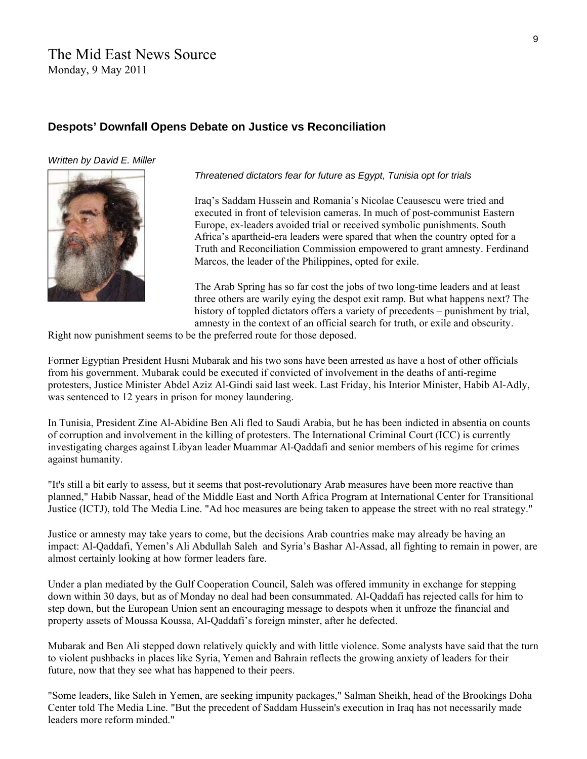# The Mid East News Source Monday, 9 May 2011

# **Despots' Downfall Opens Debate on Justice vs Reconciliation**

#### *Written by David E. Miller*



*Threatened dictators fear for future as Egypt, Tunisia opt for trials*

Iraq's Saddam Hussein and Romania's Nicolae Ceausescu were tried and executed in front of television cameras. In much of post-communist Eastern Europe, ex-leaders avoided trial or received symbolic punishments. South Africa's apartheid-era leaders were spared that when the country opted for a Truth and Reconciliation Commission empowered to grant amnesty. Ferdinand Marcos, the leader of the Philippines, opted for exile.

The Arab Spring has so far cost the jobs of two long-time leaders and at least three others are warily eying the despot exit ramp. But what happens next? The history of toppled dictators offers a variety of precedents – punishment by trial, amnesty in the context of an official search for truth, or exile and obscurity.

Right now punishment seems to be the preferred route for those deposed.

Former Egyptian President Husni Mubarak and his two sons have been arrested as have a host of other officials from his government. Mubarak could be executed if convicted of involvement in the deaths of anti-regime protesters, Justice Minister Abdel Aziz Al-Gindi said last week. Last Friday, his Interior Minister, Habib Al-Adly, was sentenced to 12 years in prison for money laundering.

In Tunisia, President Zine Al-Abidine Ben Ali fled to Saudi Arabia, but he has been indicted in absentia on counts of corruption and involvement in the killing of protesters. The International Criminal Court (ICC) is currently investigating charges against Libyan leader Muammar Al-Qaddafi and senior members of his regime for crimes against humanity.

"It's still a bit early to assess, but it seems that post-revolutionary Arab measures have been more reactive than planned," Habib Nassar, head of the Middle East and North Africa Program at International Center for Transitional Justice (ICTJ), told The Media Line. "Ad hoc measures are being taken to appease the street with no real strategy."

Justice or amnesty may take years to come, but the decisions Arab countries make may already be having an impact: Al-Qaddafi, Yemen's Ali Abdullah Saleh and Syria's Bashar Al-Assad, all fighting to remain in power, are almost certainly looking at how former leaders fare.

Under a plan mediated by the Gulf Cooperation Council, Saleh was offered immunity in exchange for stepping down within 30 days, but as of Monday no deal had been consummated. Al-Qaddafi has rejected calls for him to step down, but the European Union sent an encouraging message to despots when it unfroze the financial and property assets of Moussa Koussa, Al-Qaddafi's foreign minster, after he defected.

Mubarak and Ben Ali stepped down relatively quickly and with little violence. Some analysts have said that the turn to violent pushbacks in places like Syria, Yemen and Bahrain reflects the growing anxiety of leaders for their future, now that they see what has happened to their peers.

"Some leaders, like Saleh in Yemen, are seeking impunity packages," Salman Sheikh, head of the Brookings Doha Center told The Media Line. "But the precedent of Saddam Hussein's execution in Iraq has not necessarily made leaders more reform minded."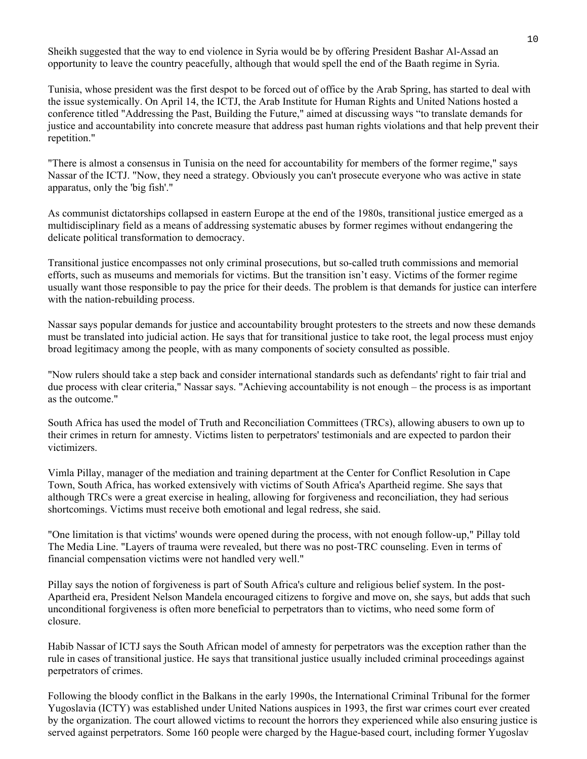Sheikh suggested that the way to end violence in Syria would be by offering President Bashar Al-Assad an opportunity to leave the country peacefully, although that would spell the end of the Baath regime in Syria.

Tunisia, whose president was the first despot to be forced out of office by the Arab Spring, has started to deal with the issue systemically. On April 14, the ICTJ, the Arab Institute for Human Rights and United Nations hosted a conference titled "Addressing the Past, Building the Future," aimed at discussing ways "to translate demands for justice and accountability into concrete measure that address past human rights violations and that help prevent their repetition."

"There is almost a consensus in Tunisia on the need for accountability for members of the former regime," says Nassar of the ICTJ. "Now, they need a strategy. Obviously you can't prosecute everyone who was active in state apparatus, only the 'big fish'."

As communist dictatorships collapsed in eastern Europe at the end of the 1980s, transitional justice emerged as a multidisciplinary field as a means of addressing systematic abuses by former regimes without endangering the delicate political transformation to democracy.

Transitional justice encompasses not only criminal prosecutions, but so-called truth commissions and memorial efforts, such as museums and memorials for victims. But the transition isn't easy. Victims of the former regime usually want those responsible to pay the price for their deeds. The problem is that demands for justice can interfere with the nation-rebuilding process.

Nassar says popular demands for justice and accountability brought protesters to the streets and now these demands must be translated into judicial action. He says that for transitional justice to take root, the legal process must enjoy broad legitimacy among the people, with as many components of society consulted as possible.

"Now rulers should take a step back and consider international standards such as defendants' right to fair trial and due process with clear criteria," Nassar says. "Achieving accountability is not enough – the process is as important as the outcome."

South Africa has used the model of Truth and Reconciliation Committees (TRCs), allowing abusers to own up to their crimes in return for amnesty. Victims listen to perpetrators' testimonials and are expected to pardon their victimizers.

Vimla Pillay, manager of the mediation and training department at the Center for Conflict Resolution in Cape Town, South Africa, has worked extensively with victims of South Africa's Apartheid regime. She says that although TRCs were a great exercise in healing, allowing for forgiveness and reconciliation, they had serious shortcomings. Victims must receive both emotional and legal redress, she said.

"One limitation is that victims' wounds were opened during the process, with not enough follow-up," Pillay told The Media Line. "Layers of trauma were revealed, but there was no post-TRC counseling. Even in terms of financial compensation victims were not handled very well."

Pillay says the notion of forgiveness is part of South Africa's culture and religious belief system. In the post-Apartheid era, President Nelson Mandela encouraged citizens to forgive and move on, she says, but adds that such unconditional forgiveness is often more beneficial to perpetrators than to victims, who need some form of closure.

Habib Nassar of ICTJ says the South African model of amnesty for perpetrators was the exception rather than the rule in cases of transitional justice. He says that transitional justice usually included criminal proceedings against perpetrators of crimes.

Following the bloody conflict in the Balkans in the early 1990s, the International Criminal Tribunal for the former Yugoslavia (ICTY) was established under United Nations auspices in 1993, the first war crimes court ever created by the organization. The court allowed victims to recount the horrors they experienced while also ensuring justice is served against perpetrators. Some 160 people were charged by the Hague-based court, including former Yugoslav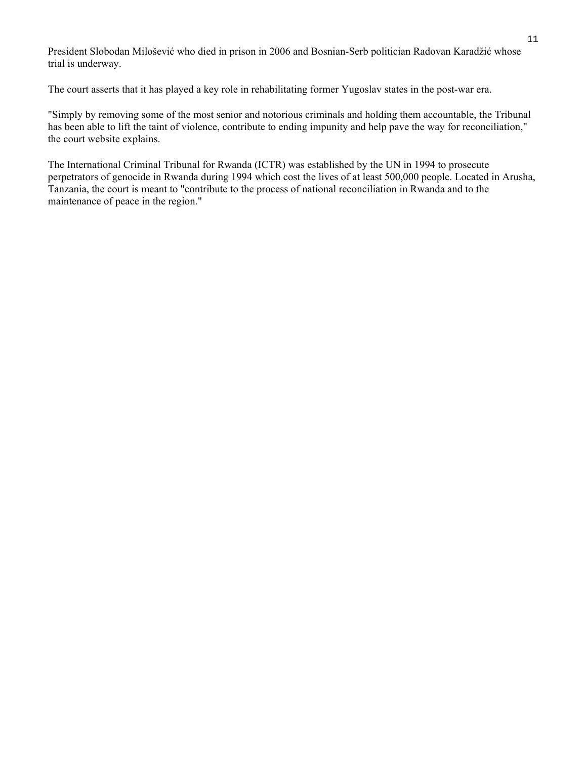President Slobodan Milošević who died in prison in 2006 and Bosnian-Serb politician Radovan Karadžić whose trial is underway.

The court asserts that it has played a key role in rehabilitating former Yugoslav states in the post-war era.

"Simply by removing some of the most senior and notorious criminals and holding them accountable, the Tribunal has been able to lift the taint of violence, contribute to ending impunity and help pave the way for reconciliation," the court website explains.

The International Criminal Tribunal for Rwanda (ICTR) was established by the UN in 1994 to prosecute perpetrators of genocide in Rwanda during 1994 which cost the lives of at least 500,000 people. Located in Arusha, Tanzania, the court is meant to "contribute to the process of national reconciliation in Rwanda and to the maintenance of peace in the region."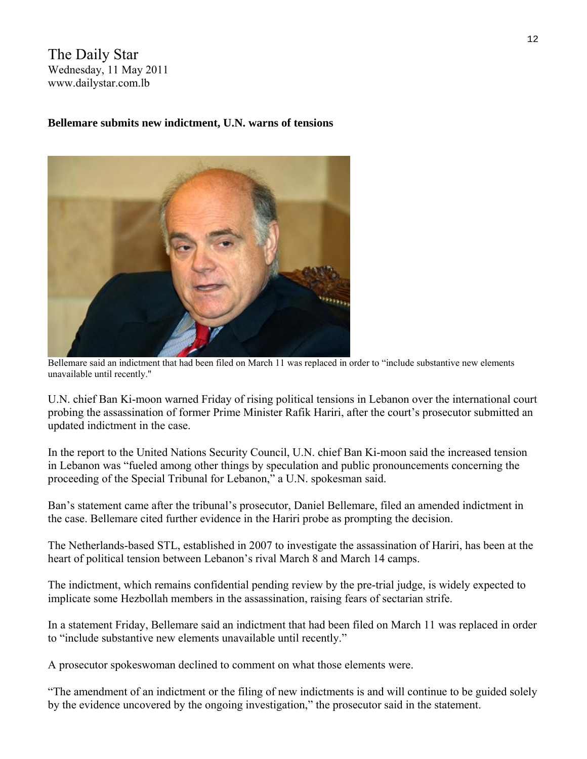The Daily Star Wednesday, 11 May 2011 www.dailystar.com.lb

### **Bellemare submits new indictment, U.N. warns of tensions**



Bellemare said an indictment that had been filed on March 11 was replaced in order to "include substantive new elements unavailable until recently."

U.N. chief Ban Ki-moon warned Friday of rising political tensions in Lebanon over the international court probing the assassination of former Prime Minister Rafik Hariri, after the court's prosecutor submitted an updated indictment in the case.

In the report to the United Nations Security Council, U.N. chief Ban Ki-moon said the increased tension in Lebanon was "fueled among other things by speculation and public pronouncements concerning the proceeding of the Special Tribunal for Lebanon," a U.N. spokesman said.

Ban's statement came after the tribunal's prosecutor, Daniel Bellemare, filed an amended indictment in the case. Bellemare cited further evidence in the Hariri probe as prompting the decision.

The Netherlands-based STL, established in 2007 to investigate the assassination of Hariri, has been at the heart of political tension between Lebanon's rival March 8 and March 14 camps.

The indictment, which remains confidential pending review by the pre-trial judge, is widely expected to implicate some Hezbollah members in the assassination, raising fears of sectarian strife.

In a statement Friday, Bellemare said an indictment that had been filed on March 11 was replaced in order to "include substantive new elements unavailable until recently."

A prosecutor spokeswoman declined to comment on what those elements were.

"The amendment of an indictment or the filing of new indictments is and will continue to be guided solely by the evidence uncovered by the ongoing investigation," the prosecutor said in the statement.